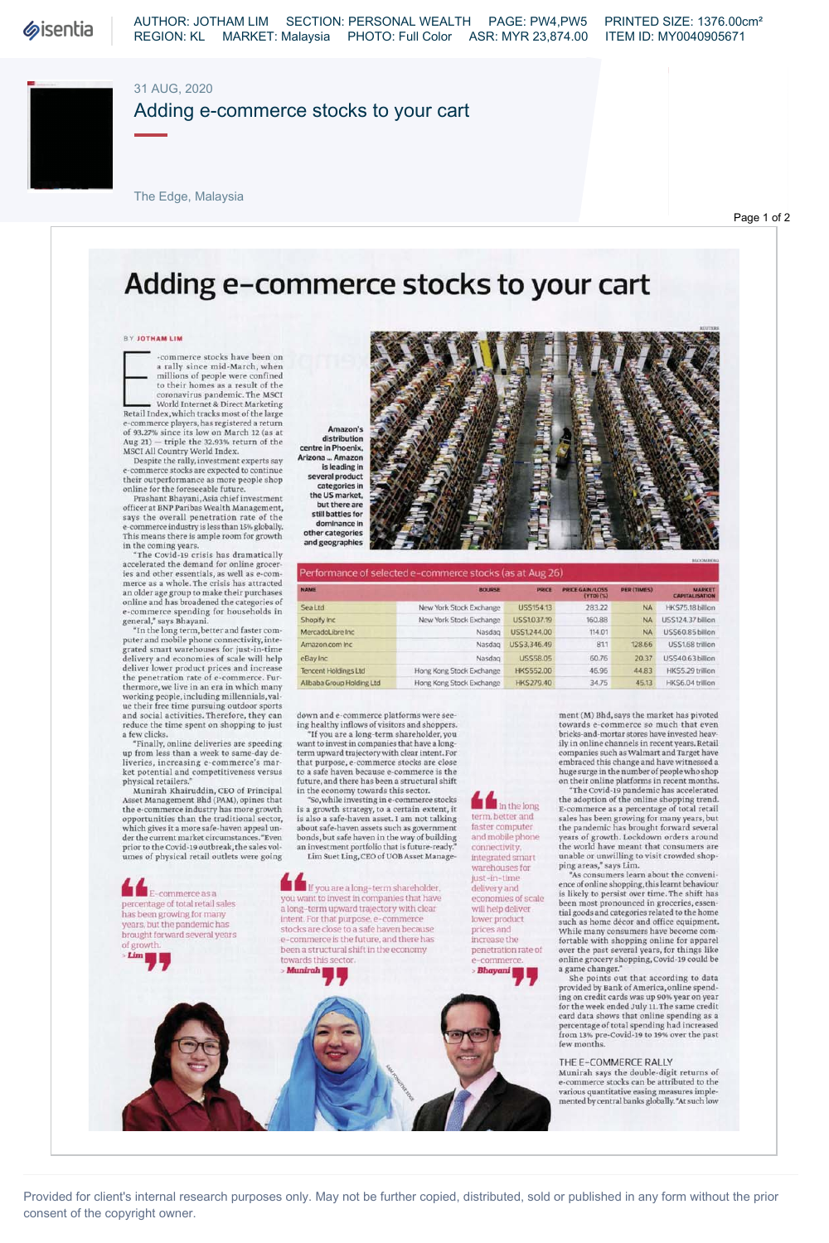### 31 AUG, 2020

## Adding e-commerce stocks to your cart

The Edge, Malaysia

Page 1 of 2

# **Adding e-commerce stocks to your cart**

#### BY JOTHAM LIM

a raily since min-March, when<br>the confined<br>to their homes as a result of the<br>comavirus pandemic. The MSCI<br>World Internet & Direct Marketing<br>Retail Index, which tracks most of the large<br>e-commerce players, has registered a -commerce stocks have been on<br>a rally since mid-March, when millions of people were confined<br>to their homes as a result of the<br>coronavirus pandemic. The MSCI

Aug 21) — triple the 32.93% return of the<br>MSCI All Country World Index.<br>Despite the rally, investment experts say e-commerce stocks are expected to continue their outperformance as more people shop<br>online for the foreseeable future.<br>Prashant Bhayani,Asia chief investment

officer at BNP Paribas Wealth Management, says the overall penetration rate of the<br>e-commerce industry is less than 15% globally. This means there is ample room for growth

in the coming years.<br>"The Covid-19 crisis has dramatically<br>accelerated the demand for online groceries and other essentials, as well as e-com-<br>merce as a whole. The crisis has attracted<br>an older age group to make their purchases

online and has broadened the categories of<br>e-commerce spending for households in<br>general," says Bhayani. "In the long term, better and faster com-<br>puter and mobile phone connectivity, inte-<br>grated smart warehouses for just

up from less than a week to same-day de-<br>liveries, increasing e-commerce's mar-<br>ket potential and competitiveness versus physical retailers."

Munirah Khairuddin, CEO of Principal<br>Asset Management Bhd (PAM), opinse that<br>the e-commerce industry has more growth<br>opportunities than the traditional sector,<br>which gives it a more safe-haven appeal un-<br>der the current ma prior to the Covid-19 outbreak, the sales vol-<br>umes of physical retail outlets were going

*kk* E-commerce as a percentage of total retail sales has been growing for many years, but the pandemic has brought forward several years of growth.<br>> **Lim | p | p |** 





| Performance of selected e-commerce stocks (as at Aug 26) |                          |                  |                                    |                    |                                        |
|----------------------------------------------------------|--------------------------|------------------|------------------------------------|--------------------|----------------------------------------|
| <b>NAME</b>                                              | <b>BOURSE</b>            | <b>PRICE</b>     | <b>PRICE GAIN/LOSS</b><br>(YTO)(S) | <b>PER (TIMES)</b> | <b>MARKET</b><br><b>CAPITALISATION</b> |
| <b>Sea Ltd</b>                                           | New York Stock Exchange  | USS154.13        | 283.22                             | <b>NA</b>          | HKS75.18 billion                       |
| Shopify Inc                                              | New York Stock Exchange  | US\$1,037.19     | 160.88                             | <b>NA</b>          | <b>US\$124.37 billion</b>              |
| MercadoLibre Inc.                                        | Nasdag                   | US\$1244.00      | 114.01                             | <b>NA</b>          | USS60.85 billion                       |
| Amazon.com Inc.                                          | Nasdag                   | USS3.346.49      | 811                                | 128.66             | USS1.68 trillion                       |
| eBay Inc                                                 | Nasdag                   | <b>USS58.05</b>  | 60.76                              | 20.37              | US\$40.63 billion                      |
| <b>Tencent Holdings Ltd</b>                              | Hong Kong Stock Exchange | <b>HKS552.00</b> | 46.96                              | 44.83              | HKS5.29 trillion                       |
| Allbaba Group Holding Ltd                                | Hong Kong Stock Exchange | <b>HKS279.40</b> | 34.75                              | 45.13              | HKS6.04 trillion                       |

down and e-commerce platforms were see-<br>ing healthy inflows of visitors and shoppers.<br>"If you are a long-term shareholder, you

want to invest in companies that have a long-<br>term upward trajectory with clear intent. For<br>that purpose, e-commerce stocks are close<br>to a safe haven because e-commerce is the future, and there has been a structural shift

in the economy towards this sector.<br>"So, while investing in e-commerce stocks" is a growth strategy, to a certain extent, it is also a safe-haven asset. I am not talking<br>about safe-haven assets such as government<br>bonds, but safe haven in the way of building an investment portfolio that is future-ready Lim Suet Ling, CEO of UOB Asset Manage -

*kk* If you are a long-term shareholder, you want to invest in companies that have a long-term upward trajectory with clear intent. For that purpose, e-commerce stocks are close to a safe haven because e-commerce is the future, and there has been a structural shift in the economy towards this sector. Munirah **| p** 

**k** In the long term, better and faster computer and mobile phone connectivity, integrated smart warehouses for just-in-time delivery and economies of scale will help deliver lower product prices and increase the penetration rate of -commerc *> Bhayani I*  J J

ment (M) Bhd, says the market has pivoted towards e-commerce so much that even<br>bricks-and-mortar stores have invested heav-<br>ily in online channels in recent years. Retail companies such as Walmart and Target have<br>embraced this change and have witnessed a<br>huge surge in the number of people who shop

on their online platforms in recent months.<br>"The Covid-19 pandemic has accelerated<br>the adoption of the online shopping trend.<br>E-commerce as a percentage of total retail sales has been growing for many years, but<br>the pandemic has brought forward several<br>years of growth. Lockdown orders around<br>the world have meant that consumers are unable or unwilling to visit crowded shop-<br>ping areas," says Lim.<br>"As consumers learn about the conveni-

ence of online shopping, this learnt behaviour<br>is likely to persist over time. The shift has<br>been most pronounced in groceries, essen-<br>tial goods and categories related to the home such as home décor and office equipment.<br>While many consumers have become com-<br>fortable with shopping online for apparel<br>over the past several years, for things like online grocery shopping, Covid-19 could be<br>a game changer."<br>She points out that according to data

provided by Bank of America, online spending on credit cards was up 90% year on year<br>for the week ended July 11. The same credit<br>card data shows that online spending as a percentage of total spending had increased<br>from 13% pre-Covid-19 to 19% over the past<br>few months.

#### THE E-COMMERCE RALLY

Munirah says the double-digit returns of<br>e-commerce stocks can be attributed to the various quantitative easing measures imple mente d by central banks globally. "At such low

Provided for client's internal research purposes only. May not be further copied, distributed, sold or published in any form without the prior consent of the copyright owner.